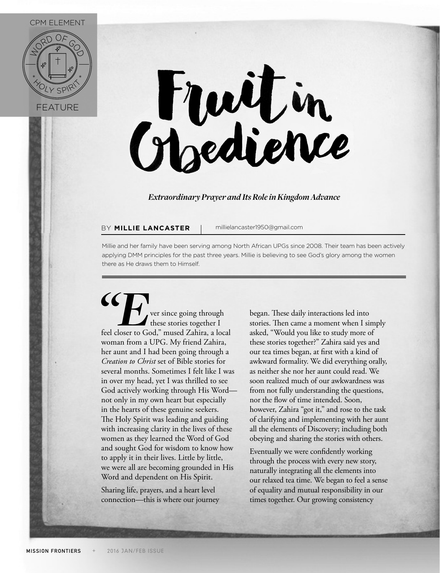## CPM ELEMENT





## *Extraordinary Prayer and Its Role in Kingdom Advance*

## BY **MILLIE LANCASTER** | millielancaster1950@gmail.com

Millie and her family have been serving among North African UPGs since 2008. Their team has been actively applying DMM principles for the past three years. Millie is believing to see God's glory among the women there as He draws them to Himself.

**EFR**<br>
These stories together I<br>
feel closer to God," mused Zahira, a local these stories together I feel closer to God," mused Zahira, a local woman from a UPG. My friend Zahira, her aunt and I had been going through a *Creation to Christ* set of Bible stories for several months. Sometimes I felt like I was in over my head, yet I was thrilled to see God actively working through His Word not only in my own heart but especially in the hearts of these genuine seekers. The Holy Spirit was leading and guiding with increasing clarity in the lives of these women as they learned the Word of God and sought God for wisdom to know how to apply it in their lives. Little by little, we were all are becoming grounded in His Word and dependent on His Spirit.

Sharing life, prayers, and a heart level connection—this is where our journey began. These daily interactions led into stories. Then came a moment when I simply asked, "Would you like to study more of these stories together?" Zahira said yes and our tea times began, at first with a kind of awkward formality. We did everything orally, as neither she nor her aunt could read. We soon realized much of our awkwardness was from not fully understanding the questions, nor the flow of time intended. Soon, however, Zahira "got it," and rose to the task of clarifying and implementing with her aunt all the elements of Discovery; including both obeying and sharing the stories with others.

Eventually we were confidently working through the process with every new story, naturally integrating all the elements into our relaxed tea time. We began to feel a sense of equality and mutual responsibility in our times together. Our growing consistency